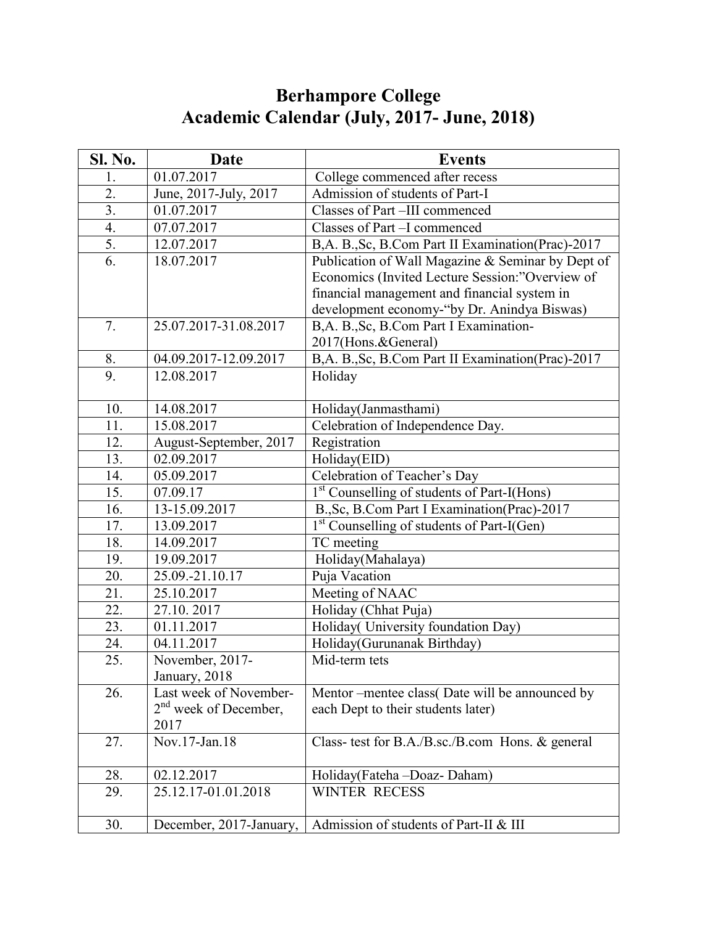## **Berhampore College Academic Calendar (July, 2017- June, 2018)**

| Sl. No.          | Date                    | <b>Events</b>                                           |
|------------------|-------------------------|---------------------------------------------------------|
| 1.               | 01.07.2017              | College commenced after recess                          |
| 2.               | June, 2017-July, 2017   | Admission of students of Part-I                         |
| $\overline{3}$ . | 01.07.2017              | Classes of Part-III commenced                           |
| $\overline{4}$ . | 07.07.2017              | Classes of Part -I commenced                            |
| 5.               | 12.07.2017              | B,A. B.,Sc, B.Com Part II Examination(Prac)-2017        |
| 6.               | 18.07.2017              | Publication of Wall Magazine & Seminar by Dept of       |
|                  |                         | Economics (Invited Lecture Session:"Overview of         |
|                  |                         | financial management and financial system in            |
|                  |                         | development economy-"by Dr. Anindya Biswas)             |
| 7.               | 25.07.2017-31.08.2017   | B,A. B.,Sc, B.Com Part I Examination-                   |
|                  |                         | 2017(Hons.&General)                                     |
| 8.               | 04.09.2017-12.09.2017   | B,A. B., Sc, B.Com Part II Examination(Prac)-2017       |
| 9.               | 12.08.2017              | Holiday                                                 |
|                  |                         |                                                         |
| 10.              | 14.08.2017              | Holiday(Janmasthami)                                    |
| 11.              | 15.08.2017              | Celebration of Independence Day.                        |
| 12.              | August-September, 2017  | Registration                                            |
| 13.              | 02.09.2017              | Holiday(EID)                                            |
| 14.              | 05.09.2017              | Celebration of Teacher's Day                            |
| 15.              | 07.09.17                | 1 <sup>st</sup> Counselling of students of Part-I(Hons) |
| 16.              | 13-15.09.2017           | B., Sc, B.Com Part I Examination(Prac)-2017             |
| 17.              | 13.09.2017              | 1 <sup>st</sup> Counselling of students of Part-I(Gen)  |
| 18.              | 14.09.2017              | TC meeting                                              |
| 19.              | 19.09.2017              | Holiday(Mahalaya)                                       |
| 20.              | 25.09.-21.10.17         | Puja Vacation                                           |
| 21.              | 25.10.2017              | Meeting of NAAC                                         |
| 22.              | 27.10.2017              | Holiday (Chhat Puja)                                    |
| 23.              | $\overline{01.11.2017}$ | Holiday(University foundation Day)                      |
| 24.              | 04.11.2017              | Holiday(Gurunanak Birthday)                             |
| 25.              | November, 2017-         | Mid-term tets                                           |
|                  | January, 2018           |                                                         |
| 26.              | Last week of November-  | Mentor – mentee class (Date will be announced by        |
|                  | $2nd$ week of December, | each Dept to their students later)                      |
|                  | 2017                    |                                                         |
| 27.              | Nov.17-Jan.18           | Class- test for B.A./B.sc./B.com Hons. & general        |
|                  |                         |                                                         |
| 28.              | 02.12.2017              | Holiday(Fateha-Doaz-Daham)                              |
| 29.              | 25.12.17-01.01.2018     | <b>WINTER RECESS</b>                                    |
| 30.              | December, 2017-January, | Admission of students of Part-II & III                  |